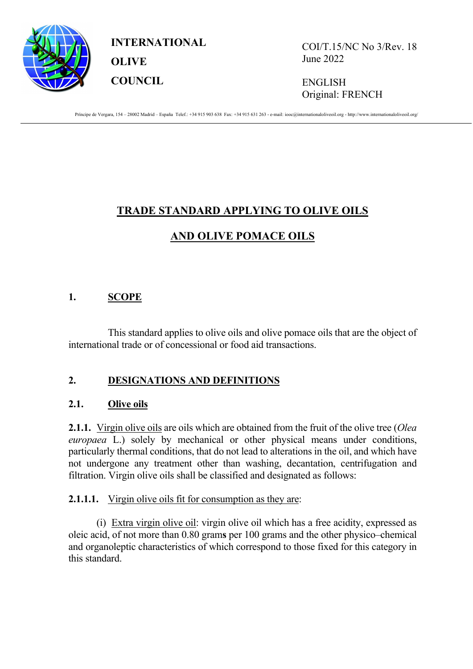

**INTERNATIONAL OLIVE COUNCIL**

COI/T.15/NC No 3/Rev. 18 June 2022

ENGLISH Original: FRENCH

Príncipe de Vergara, 154 - 28002 Madrid - España Telef.: +34 915 903 638 Fax: +34 915 631 263 - e-mail: iooc@internationaloliveoil.org - http://www.internationaloliveoil.org/

# **TRADE STANDARD APPLYING TO OLIVE OILS**

# **AND OLIVE POMACE OILS**

# **1. SCOPE**

This standard applies to olive oils and olive pomace oils that are the object of international trade or of concessional or food aid transactions.

# **2. DESIGNATIONS AND DEFINITIONS**

# **2.1. Olive oils**

**2.1.1.** Virgin olive oils are oils which are obtained from the fruit of the olive tree (*Olea europaea* L.) solely by mechanical or other physical means under conditions, particularly thermal conditions, that do not lead to alterations in the oil, and which have not undergone any treatment other than washing, decantation, centrifugation and filtration. Virgin olive oils shall be classified and designated as follows:

# **2.1.1.1.** Virgin olive oils fit for consumption as they are:

(i) Extra virgin olive oil: virgin olive oil which has a free acidity, expressed as oleic acid, of not more than 0.80 gram**s** per 100 grams and the other physico–chemical and organoleptic characteristics of which correspond to those fixed for this category in this standard.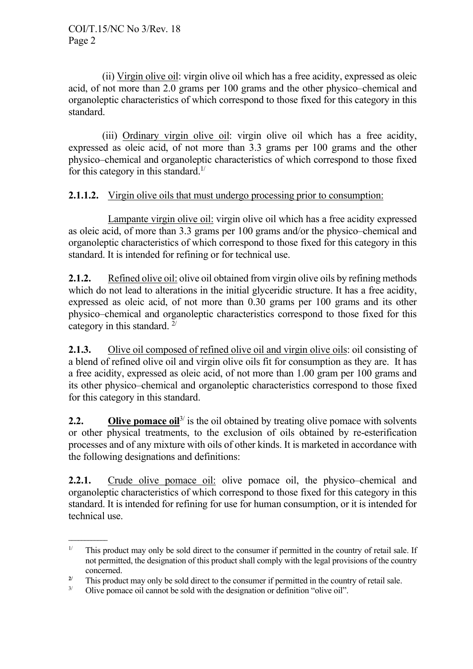(ii) Virgin olive oil: virgin olive oil which has a free acidity, expressed as oleic acid, of not more than 2.0 grams per 100 grams and the other physico–chemical and organoleptic characteristics of which correspond to those fixed for this category in this standard.

(iii) Ordinary virgin olive oil: virgin olive oil which has a free acidity, expressed as oleic acid, of not more than 3.3 grams per 100 grams and the other physico–chemical and organoleptic characteristics of which correspond to those fixed for this category in this standard.<sup>1/</sup>

# **2.1.1.2.** Virgin olive oils that must undergo processing prior to consumption:

Lampante virgin olive oil: virgin olive oil which has a free acidity expressed as oleic acid, of more than 3.3 grams per 100 grams and/or the physico–chemical and organoleptic characteristics of which correspond to those fixed for this category in this standard. It is intended for refining or for technical use.

**2.1.2.** Refined olive oil: olive oil obtained from virgin olive oils by refining methods which do not lead to alterations in the initial glyceridic structure. It has a free acidity, expressed as oleic acid, of not more than 0.30 grams per 100 grams and its other physico–chemical and organoleptic characteristics correspond to those fixed for this category in this standard. 2/

**2.1.3.** Olive oil composed of refined olive oil and virgin olive oils: oil consisting of a blend of refined olive oil and virgin olive oils fit for consumption as they are. It has a free acidity, expressed as oleic acid, of not more than 1.00 gram per 100 grams and its other physico–chemical and organoleptic characteristics correspond to those fixed for this category in this standard.

**2.2. Olive pomace oil**<sup>3/</sup> is the oil obtained by treating olive pomace with solvents or other physical treatments, to the exclusion of oils obtained by re-esterification processes and of any mixture with oils of other kinds. It is marketed in accordance with the following designations and definitions:

**2.2.1.** Crude olive pomace oil: olive pomace oil, the physico–chemical and organoleptic characteristics of which correspond to those fixed for this category in this standard. It is intended for refining for use for human consumption, or it is intended for technical use.

**\_\_\_\_\_\_\_\_\_\_\_\_**

<sup>&</sup>lt;sup>1/</sup> This product may only be sold direct to the consumer if permitted in the country of retail sale. If not permitted, the designation of this product shall comply with the legal provisions of the country concerned.

<sup>&</sup>lt;sup>2/</sup> This product may only be sold direct to the consumer if permitted in the country of retail sale.<br>
Olive nomence ail counct be sold with the decisionation on definition "alive ail"

Olive pomace oil cannot be sold with the designation or definition "olive oil".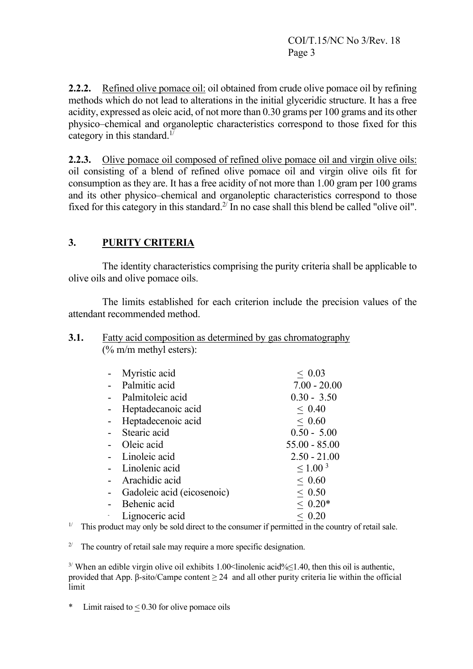**2.2.2.** Refined olive pomace oil: oil obtained from crude olive pomace oil by refining methods which do not lead to alterations in the initial glyceridic structure. It has a free acidity, expressed as oleic acid, of not more than 0.30 grams per 100 grams and its other physico–chemical and organoleptic characteristics correspond to those fixed for this category in this standard.<sup>1/</sup>

**2.2.3.** Olive pomace oil composed of refined olive pomace oil and virgin olive oils: oil consisting of a blend of refined olive pomace oil and virgin olive oils fit for consumption as they are. It has a free acidity of not more than 1.00 gram per 100 grams and its other physico–chemical and organoleptic characteristics correspond to those fixed for this category in this standard. $2^{7}$  In no case shall this blend be called "olive oil".

# **3. PURITY CRITERIA**

The identity characteristics comprising the purity criteria shall be applicable to olive oils and olive pomace oils.

The limits established for each criterion include the precision values of the attendant recommended method.

#### **3.1.** Fatty acid composition as determined by gas chromatography (% m/m methyl esters):

| Myristic acid              | ~< 0.03         |
|----------------------------|-----------------|
| Palmitic acid              | $7.00 - 20.00$  |
| Palmitoleic acid           | $0.30 - 3.50$   |
| Heptadecanoic acid         | ~< 0.40         |
| Heptadecenoic acid         | ~< 0.60         |
| Stearic acid               | $0.50 - 5.00$   |
| Oleic acid                 | $55.00 - 85.00$ |
| Linoleic acid              | $2.50 - 21.00$  |
| Linolenic acid             | $\leq 1.00^{3}$ |
| Arachidic acid             | ~< 0.60         |
| Gadoleic acid (eicosenoic) | ~< 0.50         |
| Behenic acid               | $~< 0.20*$      |
| Lignoceric acid            | ~< 0.20         |

<sup> $1/$ </sup> This product may only be sold direct to the consumer if permitted in the country of retail sale.

<sup>2/</sup> The country of retail sale may require a more specific designation.

 $3/$  When an edible virgin olive oil exhibits 1.00<linolenic acid%≤1.40, then this oil is authentic, provided that App. β-sito/Campe content  $\geq$  24 and all other purity criteria lie within the official limit

Limit raised to  $< 0.30$  for olive pomace oils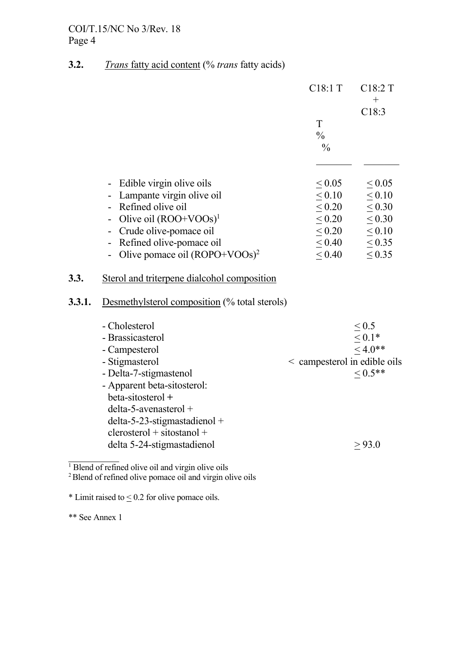# **3.2.** *Trans* fatty acid content (% *trans* fatty acids)

|        |                                                                                                                                                                                                                                                                                 | C18:1 T                                                                                                 | C18:2 T                                                                                          |
|--------|---------------------------------------------------------------------------------------------------------------------------------------------------------------------------------------------------------------------------------------------------------------------------------|---------------------------------------------------------------------------------------------------------|--------------------------------------------------------------------------------------------------|
|        |                                                                                                                                                                                                                                                                                 | T<br>$\frac{0}{0}$                                                                                      | $^{+}$<br>C18:3                                                                                  |
| 3.3.   | Edible virgin olive oils<br>Lampante virgin olive oil<br>Refined olive oil<br>Olive oil $(ROO+VOOs)^1$<br>Crude olive-pomace oil<br>Refined olive-pomace oil<br>Olive pomace oil $(ROPO+VOOs)^2$                                                                                | $\frac{0}{0}$<br>${}_{0.05}$<br>$\leq 0.10$<br>< 0.20<br>$\leq 0.20$<br>$\leq 0.20$<br>< 0.40<br>< 0.40 | $\leq 0.05$<br>$\leq 0.10$<br>< 0.30<br>$\leq 0.30$<br>$\leq 0.10$<br>$\leq 0.35$<br>$\leq 0.35$ |
| 3.3.1. | Sterol and triterpene dialcohol composition<br>Desmethylsterol composition (% total sterols)                                                                                                                                                                                    |                                                                                                         |                                                                                                  |
|        | - Cholesterol<br>- Brassicasterol<br>- Campesterol<br>- Stigmasterol<br>- Delta-7-stigmastenol<br>- Apparent beta-sitosterol:<br>beta-sitosterol +<br>$delta-5$ -avenasterol +<br>$delta-5-23$ -stigmastadienol +<br>$clerosterol + sitostanol +$<br>delta 5-24-stigmastadienol | < campesterol in edible oils                                                                            | $\leq 0.5$<br>$\leq 0.1*$<br>$< 4.0**$<br>$< 0.5$ **<br>> 93.0                                   |
|        | $1.6.6$ 1.1, 1.1, 1.2, 1.1, 1.1                                                                                                                                                                                                                                                 |                                                                                                         |                                                                                                  |

<sup>1</sup> Blend of refined olive oil and virgin olive oils

<sup>2</sup> Blend of refined olive pomace oil and virgin olive oils

 $*$  Limit raised to  $\leq$  0.2 for olive pomace oils.

\*\* See Annex 1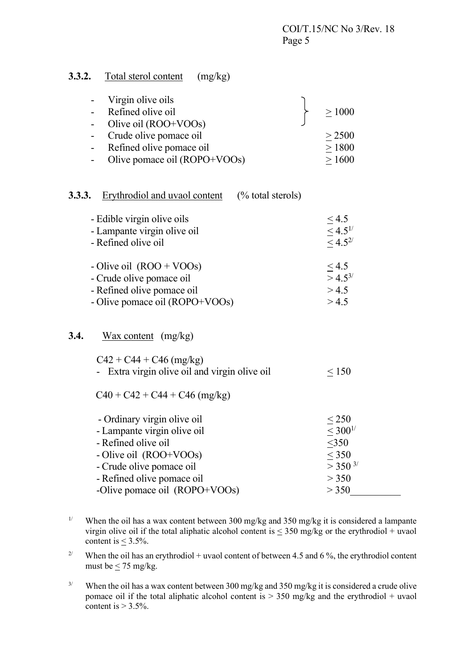## **3.3.2.** Total sterol content (mg/kg)

| Virgin olive oils<br>$\qquad \qquad \blacksquare$<br>Refined olive oil<br>$\qquad \qquad \blacksquare$<br>Olive oil (ROO+VOOs) | $\geq 1000$           |
|--------------------------------------------------------------------------------------------------------------------------------|-----------------------|
| Crude olive pomace oil<br>$\overline{\phantom{0}}$                                                                             | > 2500                |
| Refined olive pomace oil<br>$\overline{\phantom{0}}$                                                                           | $\geq 1800$           |
| Olive pomace oil (ROPO+VOOs)                                                                                                   | $\geq 1600$           |
| Erythrodiol and uvaol content<br>3.3.3.<br>$(\%$ total sterols)                                                                |                       |
| - Edible virgin olive oils                                                                                                     | $\leq$ 4.5            |
| - Lampante virgin olive oil                                                                                                    | $\leq 4.5^{1/3}$      |
| - Refined olive oil                                                                                                            | $<$ 4.5 <sup>2/</sup> |
|                                                                                                                                |                       |
| - Olive oil $($ ROO + VOOs $)$                                                                                                 | < 4.5                 |
| - Crude olive pomace oil                                                                                                       | $>$ 4.5 <sup>3/</sup> |
| - Refined olive pomace oil                                                                                                     | > 4.5                 |
| - Olive pomace oil (ROPO+VOOs)                                                                                                 | > 4.5                 |
| 3.4.<br>$\frac{\text{Wax content}}{\text{mg/kg}}$                                                                              |                       |
| $C42 + C44 + C46$ (mg/kg)                                                                                                      |                       |
| - Extra virgin olive oil and virgin olive oil                                                                                  | $\leq 150$            |
| $C40 + C42 + C44 + C46$ (mg/kg)                                                                                                |                       |
| - Ordinary virgin olive oil                                                                                                    | < 250                 |
| - Lampante virgin olive oil                                                                                                    | $< 300^{1/5}$         |
| - Refined olive oil                                                                                                            | $<$ 350               |
| - Olive oil (ROO+VOOs)                                                                                                         | < 350                 |
| - Crude olive pomace oil                                                                                                       | $>$ 350 $^{3/}$       |
| - Refined olive pomace oil                                                                                                     | > 350                 |
| -Olive pomace oil (ROPO+VOOs)                                                                                                  | > 350                 |

<sup>&</sup>lt;sup>1/</sup> When the oil has a wax content between 300 mg/kg and 350 mg/kg it is considered a lampante virgin olive oil if the total aliphatic alcohol content is  $\leq$  350 mg/kg or the erythrodiol + uvaol content is  $<$  3.5%.

<sup>2/</sup> When the oil has an erythrodiol + uvaol content of between 4.5 and 6 %, the erythrodiol content must be  $\leq$  75 mg/kg.

<sup>3/</sup> When the oil has a wax content between 300 mg/kg and 350 mg/kg it is considered a crude olive pomace oil if the total aliphatic alcohol content is > 350 mg/kg and the erythrodiol + uvaol content is  $> 3.5\%$ .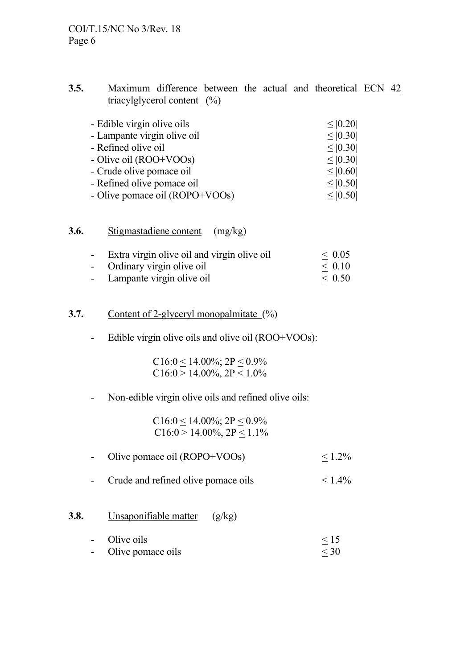## **3.5.** Maximum difference between the actual and theoretical ECN 42 triacylglycerol content (%)

| - Edible virgin olive oils     | $\leq  0.20 $ |
|--------------------------------|---------------|
| - Lampante virgin olive oil    | $\leq  0.30 $ |
| - Refined olive oil            | $\leq  0.30 $ |
| - Olive oil (ROO+VOOs)         | $\leq  0.30 $ |
| - Crude olive pomace oil       | $\leq  0.60 $ |
| - Refined olive pomace oil     | $\leq  0.50 $ |
| - Olive pomace oil (ROPO+VOOs) | $\leq  0.50 $ |
|                                |               |

# **3.6.** Stigmastadiene content (mg/kg)

| - | Extra virgin olive oil and virgin olive oil | ~< 0.05     |
|---|---------------------------------------------|-------------|
|   | - Ordinary virgin olive oil                 | $\leq 0.10$ |
|   | Lampante virgin olive oil                   | $\leq 0.50$ |

#### **3.7.** Content of 2-glyceryl monopalmitate  $(\%)$

- Edible virgin olive oils and olive oil (ROO+VOOs):

C16:0 < 14.00%;  $2P < 0.9%$  $C16:0 > 14.00\%$ ,  $2P < 1.0\%$ 

## - Non-edible virgin olive oils and refined olive oils:

 $C16:0 \le 14.00\%$ ;  $2P \le 0.9\%$  $C16:0 > 14.00\%, 2P < 1.1\%$ 

- Olive pomace oil (ROPO+VOOs)  $< 1.2\%$
- Crude and refined olive pomace oils  $\leq 1.4\%$

## **3.8.** Unsaponifiable matter (g/kg)

| $\overline{\phantom{0}}$ | Olive oils        | $<$ 15 |
|--------------------------|-------------------|--------|
| $\overline{\phantom{0}}$ | Olive pomace oils | $<$ 30 |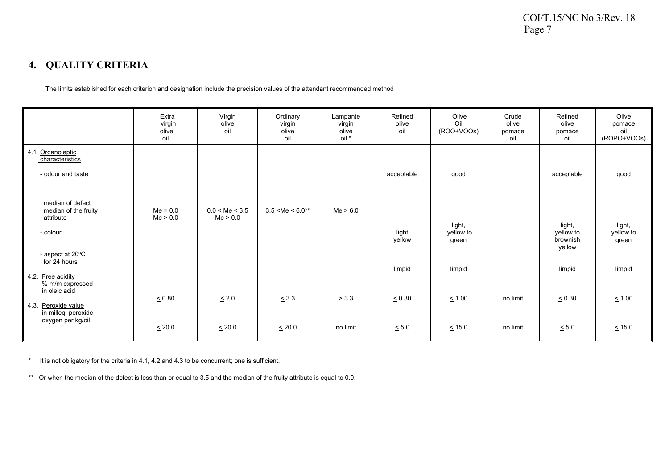## **4. QUALITY CRITERIA**

The limits established for each criterion and designation include the precision values of the attendant recommended method

|                                                                                                            | Extra<br>virgin<br>olive<br>oil | Virgin<br>olive<br>oil          | Ordinary<br>virgin<br>olive<br>oil | Lampante<br>virgin<br>olive<br>oil * | Refined<br>olive<br>oil | Olive<br>Oil<br>(ROO+VOOs)   | Crude<br>olive<br>pomace<br>oil | Refined<br>olive<br>pomace<br>oil         | Olive<br>pomace<br>oil<br>(ROPO+VOOs) |
|------------------------------------------------------------------------------------------------------------|---------------------------------|---------------------------------|------------------------------------|--------------------------------------|-------------------------|------------------------------|---------------------------------|-------------------------------------------|---------------------------------------|
| 4.1 Organoleptic<br>characteristics<br>- odour and taste<br>$\overline{\phantom{a}}$<br>. median of defect |                                 |                                 |                                    |                                      | acceptable              | good                         |                                 | acceptable                                | good                                  |
| . median of the fruity<br>attribute<br>- colour<br>- aspect at 20°C                                        | $Me = 0.0$<br>Me > 0.0          | $0.0 < Me \leq 3.5$<br>Me > 0.0 | $3.5 < Me \leq 6.0**$              | Me > 6.0                             | light<br>yellow         | light,<br>yellow to<br>green |                                 | light,<br>yellow to<br>brownish<br>yellow | light,<br>yellow to<br>green          |
| for 24 hours<br>4.2 Free acidity<br>% m/m expressed                                                        |                                 |                                 |                                    |                                      | limpid                  | limpid                       |                                 | limpid                                    | limpid                                |
| in oleic acid<br>4.3. Peroxide value<br>in milleq. peroxide                                                | $\leq 0.80$                     | $\leq 2.0$                      | $\leq$ 3.3                         | > 3.3                                | $\le 0.30$              | $\leq 1.00$                  | no limit                        | $\leq 0.30$                               | $\leq 1.00$                           |
| oxygen per kg/oil                                                                                          | $\leq 20.0$                     | $\leq 20.0$                     | $\leq 20.0$                        | no limit                             | $\leq 5.0$              | $\leq$ 15.0                  | no limit                        | $\leq 5.0$                                | $\leq 15.0$                           |

\* It is not obligatory for the criteria in 4.1, 4.2 and 4.3 to be concurrent; one is sufficient.

\*\* Or when the median of the defect is less than or equal to 3.5 and the median of the fruity attribute is equal to 0.0.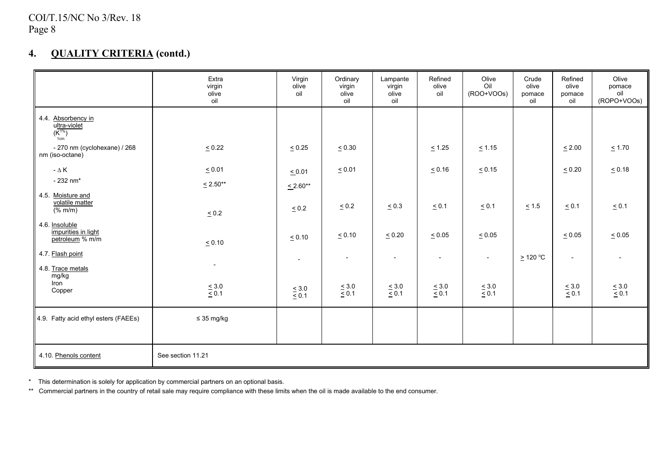# **4. QUALITY CRITERIA (contd.)**

|                                                          | Extra<br>virgin<br>olive<br>oil | Virgin<br>olive<br>oil | Ordinary<br>virgin<br>olive<br>oil | Lampante<br>virgin<br>olive<br>oil | Refined<br>olive<br>oil | Olive<br>Oil<br>(ROO+VOOs) | Crude<br>olive<br>pomace<br>oil | Refined<br>olive<br>pomace<br>oil | Olive<br>pomace<br>oil<br>(ROPO+VOOs) |
|----------------------------------------------------------|---------------------------------|------------------------|------------------------------------|------------------------------------|-------------------------|----------------------------|---------------------------------|-----------------------------------|---------------------------------------|
| 4.4. Absorbency in<br>ultra-violet<br>$(K^{1\%})$<br>1cm |                                 |                        |                                    |                                    |                         |                            |                                 |                                   |                                       |
| - 270 nm (cyclohexane) / 268<br>nm (iso-octane)          | $\leq 0.22$                     | $\leq 0.25$            | $\leq 0.30$                        |                                    | $\leq 1.25$             | $\leq 1.15$                |                                 | $\leq 2.00$                       | $\leq 1.70$                           |
| $-\Delta K$                                              | $\leq 0.01$                     | $\leq 0.01$            | $\le 0.01$                         |                                    | $\le 0.16$              | $\leq 0.15$                |                                 | $\leq 0.20$                       | $\leq 0.18$                           |
| $-232$ nm <sup>*</sup>                                   | $≤ 2.50***$                     | $\leq 2.60**$          |                                    |                                    |                         |                            |                                 |                                   |                                       |
| 4.5. Moisture and<br>volatile matter<br>$\sqrt{(% m/m)}$ | $\leq 0.2$                      | $\leq 0.2$             | $\leq 0.2$                         | $\leq 0.3$                         | $\leq 0.1$              | $\leq 0.1$                 | $\leq 1.5$                      | $\leq 0.1$                        | $\leq 0.1$                            |
| 4.6. Insoluble<br>impurities in light<br>petroleum % m/m | $\leq 0.10$                     | $\leq 0.10$            | $\le 0.10$                         | $\leq 0.20$                        | $\leq 0.05$             | $\leq 0.05$                |                                 | $\leq 0.05$                       | $\leq 0.05$                           |
| 4.7. Flash point<br>4.8. Trace metals                    |                                 | $\sim$                 | $\blacksquare$                     | $\blacksquare$                     | $\blacksquare$          | $\blacksquare$             | ≥ 120 °C                        | $\overline{\phantom{a}}$          |                                       |
| mg/kg<br>Iron<br>Copper                                  | $\leq 3.0$ $\leq 0.1$           | $\leq 3.0$ $\leq 0.1$  | $\leq 3.0$ $\leq 0.1$              | $\leq 3.0$ $\leq 0.1$              | $\leq 3.0$ $\leq 0.1$   | $\leq 3.0$ $\leq 0.1$      |                                 | $\leq 3.0$<br>$\leq 0.1$          | $\leq 3.0$<br>$\leq 0.1$              |
| 4.9. Fatty acid ethyl esters (FAEEs)                     | $\leq$ 35 mg/kg                 |                        |                                    |                                    |                         |                            |                                 |                                   |                                       |
|                                                          |                                 |                        |                                    |                                    |                         |                            |                                 |                                   |                                       |
| 4.10. Phenols content                                    | See section 11.21               |                        |                                    |                                    |                         |                            |                                 |                                   |                                       |

\* This determination is solely for application by commercial partners on an optional basis.

\*\* Commercial partners in the country of retail sale may require compliance with these limits when the oil is made available to the end consumer.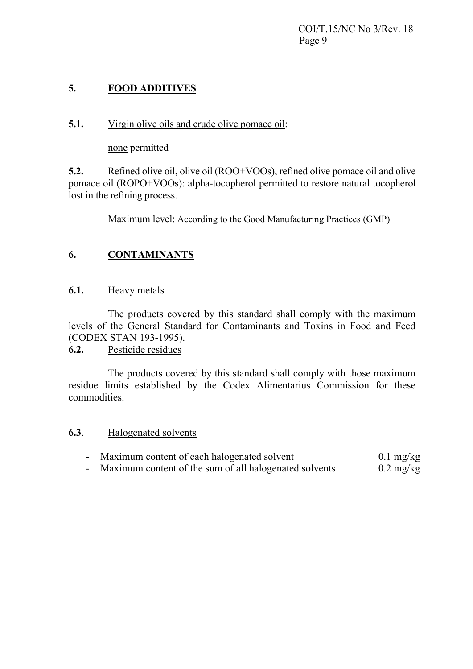# **5. FOOD ADDITIVES**

# **5.1.** Virgin olive oils and crude olive pomace oil:

none permitted

**5.2.** Refined olive oil, olive oil (ROO+VOOs), refined olive pomace oil and olive pomace oil (ROPO+VOOs): alpha-tocopherol permitted to restore natural tocopherol lost in the refining process.

Maximum level: According to the Good Manufacturing Practices (GMP)

# **6. CONTAMINANTS**

## **6.1.** Heavy metals

The products covered by this standard shall comply with the maximum levels of the General Standard for Contaminants and Toxins in Food and Feed (CODEX STAN 193-1995).

**6.2.** Pesticide residues

The products covered by this standard shall comply with those maximum residue limits established by the Codex Alimentarius Commission for these commodities.

## **6.3**. Halogenated solvents

- Maximum content of each halogenated solvent 0.1 mg/kg
- Maximum content of the sum of all halogenated solvents 0.2 mg/kg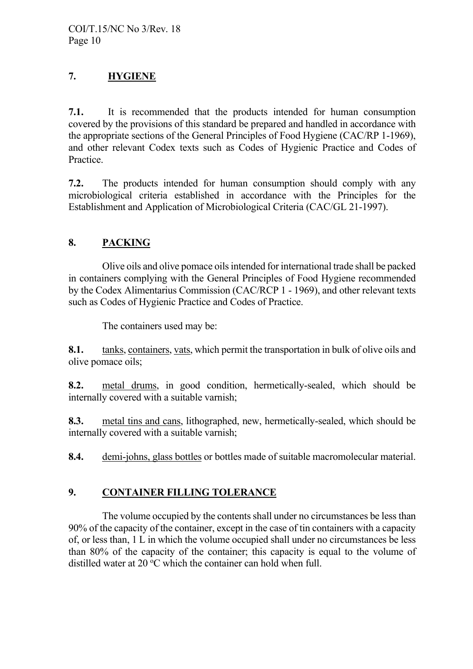# **7. HYGIENE**

**7.1.** It is recommended that the products intended for human consumption covered by the provisions of this standard be prepared and handled in accordance with the appropriate sections of the General Principles of Food Hygiene (CAC/RP 1-1969), and other relevant Codex texts such as Codes of Hygienic Practice and Codes of Practice.

**7.2.** The products intended for human consumption should comply with any microbiological criteria established in accordance with the Principles for the Establishment and Application of Microbiological Criteria (CAC/GL 21-1997).

# **8. PACKING**

Olive oils and olive pomace oils intended for international trade shall be packed in containers complying with the General Principles of Food Hygiene recommended by the Codex Alimentarius Commission (CAC/RCP 1 - 1969), and other relevant texts such as Codes of Hygienic Practice and Codes of Practice.

The containers used may be:

**8.1.** tanks, containers, vats, which permit the transportation in bulk of olive oils and olive pomace oils;

**8.2.** metal drums, in good condition, hermetically-sealed, which should be internally covered with a suitable varnish;

**8.3.** metal tins and cans, lithographed, new, hermetically-sealed, which should be internally covered with a suitable varnish;

**8.4.** demi-johns, glass bottles or bottles made of suitable macromolecular material.

# **9. CONTAINER FILLING TOLERANCE**

 The volume occupied by the contents shall under no circumstances be less than 90% of the capacity of the container, except in the case of tin containers with a capacity of, or less than, 1 L in which the volume occupied shall under no circumstances be less than 80% of the capacity of the container; this capacity is equal to the volume of distilled water at 20 °C which the container can hold when full.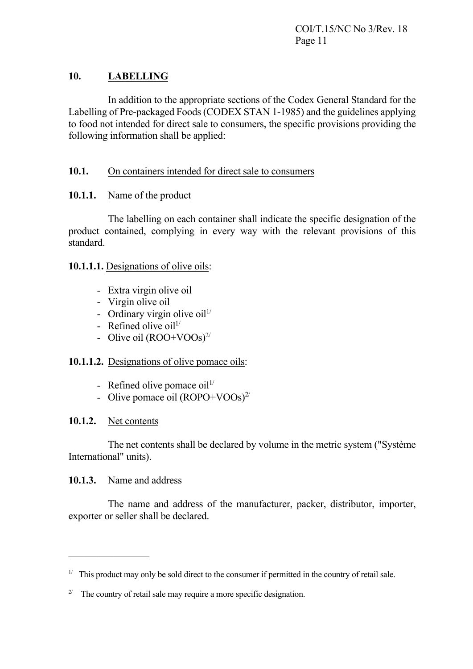# **10. LABELLING**

 In addition to the appropriate sections of the Codex General Standard for the Labelling of Pre-packaged Foods (CODEX STAN 1-1985) and the guidelines applying to food not intended for direct sale to consumers, the specific provisions providing the following information shall be applied:

# **10.1.** On containers intended for direct sale to consumers

# **10.1.1.** Name of the product

 The labelling on each container shall indicate the specific designation of the product contained, complying in every way with the relevant provisions of this standard.

## **10.1.1.1.** Designations of olive oils:

- Extra virgin olive oil
- Virgin olive oil
- Ordinary virgin olive oil $1/$
- Refined olive oil $11$
- Olive oil  $(ROO+VOOs)^{2/2}$

# **10.1.1.2.** Designations of olive pomace oils:

- Refined olive pomace  $\text{oil}^{1/2}$
- Olive pomace oil  $(ROPO+VOOs)^{2/2}$

# **10.1.2.** Net contents

 The net contents shall be declared by volume in the metric system ("Système International" units).

# **10.1.3.** Name and address

 The name and address of the manufacturer, packer, distributor, importer, exporter or seller shall be declared.

<sup>&</sup>lt;sup>1/</sup> This product may only be sold direct to the consumer if permitted in the country of retail sale.

<sup>&</sup>lt;sup>2/</sup> The country of retail sale may require a more specific designation.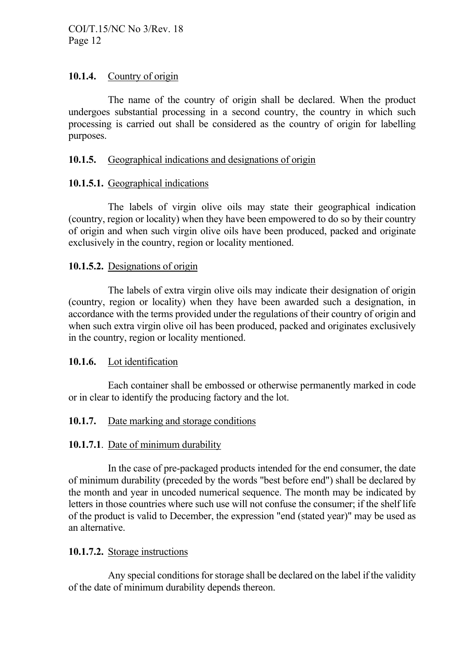## **10.1.4.** Country of origin

The name of the country of origin shall be declared. When the product undergoes substantial processing in a second country, the country in which such processing is carried out shall be considered as the country of origin for labelling purposes.

## **10.1.5.** Geographical indications and designations of origin

## **10.1.5.1.** Geographical indications

The labels of virgin olive oils may state their geographical indication (country, region or locality) when they have been empowered to do so by their country of origin and when such virgin olive oils have been produced, packed and originate exclusively in the country, region or locality mentioned.

## **10.1.5.2.** Designations of origin

The labels of extra virgin olive oils may indicate their designation of origin (country, region or locality) when they have been awarded such a designation, in accordance with the terms provided under the regulations of their country of origin and when such extra virgin olive oil has been produced, packed and originates exclusively in the country, region or locality mentioned.

## **10.1.6.** Lot identification

Each container shall be embossed or otherwise permanently marked in code or in clear to identify the producing factory and the lot.

## **10.1.7.** Date marking and storage conditions

## **10.1.7.1**. Date of minimum durability

In the case of pre-packaged products intended for the end consumer, the date of minimum durability (preceded by the words "best before end") shall be declared by the month and year in uncoded numerical sequence. The month may be indicated by letters in those countries where such use will not confuse the consumer; if the shelf life of the product is valid to December, the expression "end (stated year)" may be used as an alternative.

## **10.1.7.2.** Storage instructions

Any special conditions for storage shall be declared on the label if the validity of the date of minimum durability depends thereon.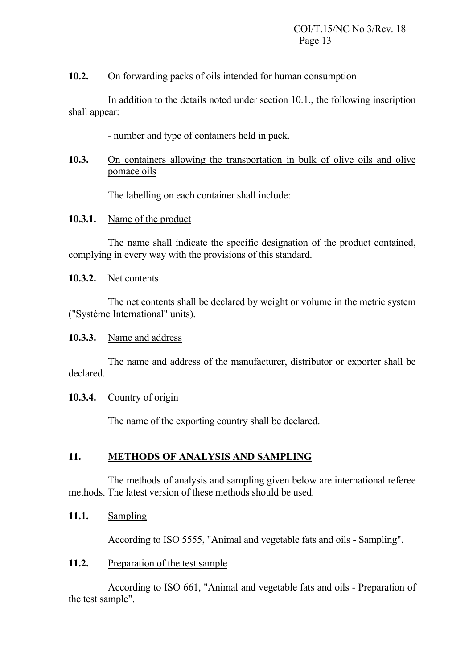#### **10.2.** On forwarding packs of oils intended for human consumption

In addition to the details noted under section 10.1., the following inscription shall appear:

- number and type of containers held in pack.

## **10.3.** On containers allowing the transportation in bulk of olive oils and olive pomace oils

The labelling on each container shall include:

## **10.3.1.** Name of the product

The name shall indicate the specific designation of the product contained, complying in every way with the provisions of this standard.

#### **10.3.2.** Net contents

The net contents shall be declared by weight or volume in the metric system ("Système International" units).

#### **10.3.3.** Name and address

The name and address of the manufacturer, distributor or exporter shall be declared.

## **10.3.4.** Country of origin

The name of the exporting country shall be declared.

## **11. METHODS OF ANALYSIS AND SAMPLING**

The methods of analysis and sampling given below are international referee methods. The latest version of these methods should be used.

## **11.1.** Sampling

According to ISO 5555, "Animal and vegetable fats and oils - Sampling".

## 11.2. Preparation of the test sample

According to ISO 661, "Animal and vegetable fats and oils - Preparation of the test sample".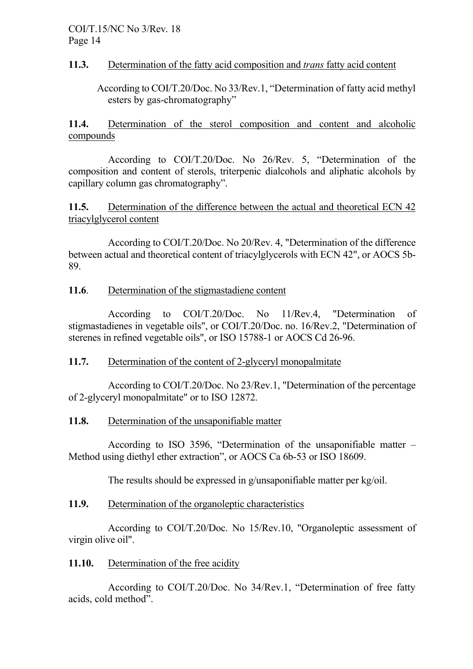## **11.3.** Determination of the fatty acid composition and *trans* fatty acid content

According to COI/T.20/Doc. No 33/Rev.1, "Determination of fatty acid methyl esters by gas-chromatography"

**11.4.** Determination of the sterol composition and content and alcoholic compounds

According to COI/T.20/Doc. No 26/Rev. 5, "Determination of the composition and content of sterols, triterpenic dialcohols and aliphatic alcohols by capillary column gas chromatography".

**11.5.** Determination of the difference between the actual and theoretical ECN 42 triacylglycerol content

According to COI/T.20/Doc. No 20/Rev. 4, "Determination of the difference between actual and theoretical content of triacylglycerols with ECN 42", or AOCS 5b-89.

## **11.6**. Determination of the stigmastadiene content

According to COI/T.20/Doc. No 11/Rev.4, "Determination of stigmastadienes in vegetable oils", or COI/T.20/Doc. no. 16/Rev.2, "Determination of sterenes in refined vegetable oils", or ISO 15788-1 or AOCS Cd 26-96.

# **11.7.** Determination of the content of 2-glyceryl monopalmitate

According to COI/T.20/Doc. No 23/Rev.1, "Determination of the percentage of 2-glyceryl monopalmitate" or to ISO 12872.

## **11.8.** Determination of the unsaponifiable matter

According to ISO 3596, "Determination of the unsaponifiable matter – Method using diethyl ether extraction", or AOCS Ca 6b-53 or ISO 18609.

The results should be expressed in g/unsaponifiable matter per kg/oil.

# **11.9.** Determination of the organoleptic characteristics

According to COI/T.20/Doc. No 15/Rev.10, "Organoleptic assessment of virgin olive oil".

# 11.10. Determination of the free acidity

According to COI/T.20/Doc. No 34/Rev.1, "Determination of free fatty acids, cold method".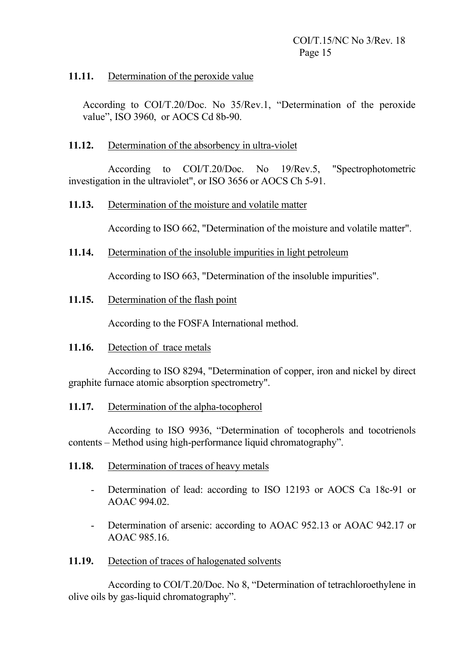## **11.11.** Determination of the peroxide value

According to COI/T.20/Doc. No 35/Rev.1, "Determination of the peroxide value", ISO 3960, or AOCS Cd 8b-90.

## **11.12.** Determination of the absorbency in ultra-violet

According to COI/T.20/Doc. No 19/Rev.5, "Spectrophotometric investigation in the ultraviolet", or ISO 3656 or AOCS Ch 5-91.

## **11.13.** Determination of the moisture and volatile matter

According to ISO 662, "Determination of the moisture and volatile matter".

## **11.14.** Determination of the insoluble impurities in light petroleum

According to ISO 663, "Determination of the insoluble impurities".

**11.15.** Determination of the flash point

According to the FOSFA International method.

## **11.16.** Detection of trace metals

According to ISO 8294, "Determination of copper, iron and nickel by direct graphite furnace atomic absorption spectrometry".

## **11.17.** Determination of the alpha-tocopherol

According to ISO 9936, "Determination of tocopherols and tocotrienols contents – Method using high-performance liquid chromatography".

- **11.18.** Determination of traces of heavy metals
	- Determination of lead: according to ISO 12193 or AOCS Ca 18c-91 or AOAC 994.02.
	- Determination of arsenic: according to AOAC 952.13 or AOAC 942.17 or AOAC 985.16.
- **11.19.** Detection of traces of halogenated solvents

According to COI/T.20/Doc. No 8, "Determination of tetrachloroethylene in olive oils by gas-liquid chromatography".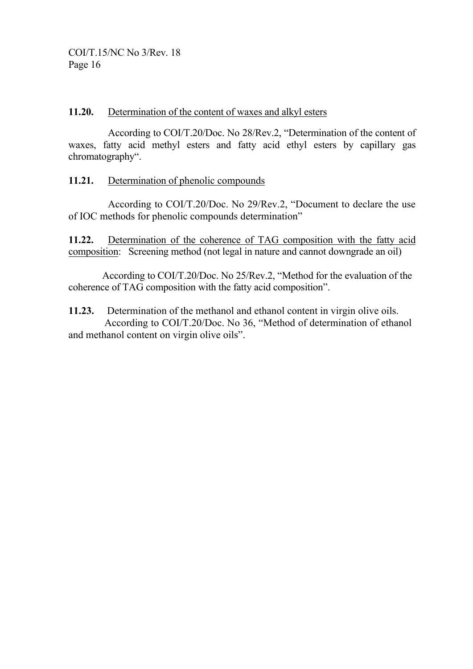#### **11.20.** Determination of the content of waxes and alkyl esters

According to COI/T.20/Doc. No 28/Rev.2, "Determination of the content of waxes, fatty acid methyl esters and fatty acid ethyl esters by capillary gas chromatography".

## **11.21.** Determination of phenolic compounds

According to COI/T.20/Doc. No 29/Rev.2, "Document to declare the use of IOC methods for phenolic compounds determination"

**11.22.** Determination of the coherence of TAG composition with the fatty acid composition: Screening method (not legal in nature and cannot downgrade an oil)

According to COI/T.20/Doc. No 25/Rev.2, "Method for the evaluation of the coherence of TAG composition with the fatty acid composition".

**11.23.** Determination of the methanol and ethanol content in virgin olive oils. According to COI/T.20/Doc. No 36, "Method of determination of ethanol and methanol content on virgin olive oils".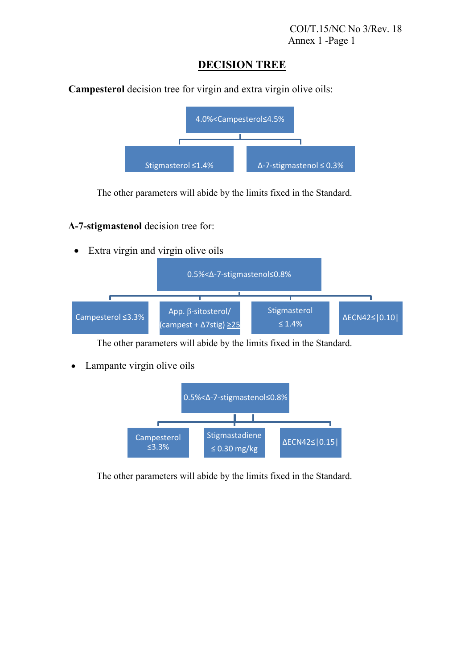# **DECISION TREE**

**Campesterol** decision tree for virgin and extra virgin olive oils:



The other parameters will abide by the limits fixed in the Standard.

## **Δ-7-stigmastenol** decision tree for:

Extra virgin and virgin olive oils



The other parameters will abide by the limits fixed in the Standard.

• Lampante virgin olive oils



The other parameters will abide by the limits fixed in the Standard.